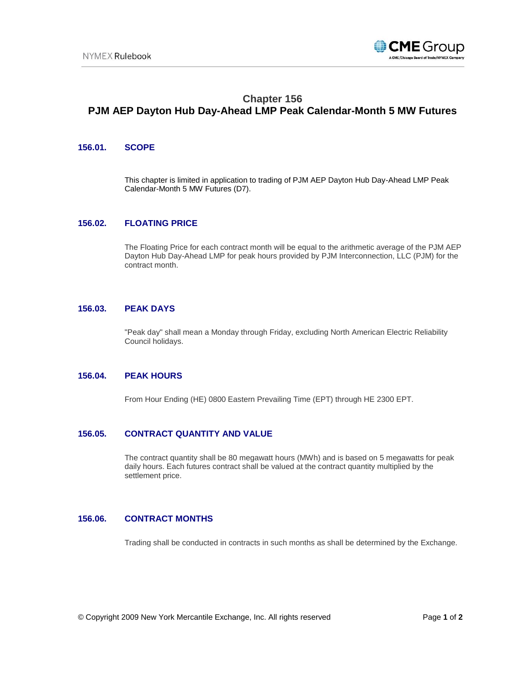

# **Chapter 156 PJM AEP Dayton Hub Day-Ahead LMP Peak Calendar-Month 5 MW Futures**

## **156.01. SCOPE**

This chapter is limited in application to trading of PJM AEP Dayton Hub Day-Ahead LMP Peak Calendar-Month 5 MW Futures (D7).

## **156.02. FLOATING PRICE**

The Floating Price for each contract month will be equal to the arithmetic average of the PJM AEP Dayton Hub Day-Ahead LMP for peak hours provided by PJM Interconnection, LLC (PJM) for the contract month.

### **156.03. PEAK DAYS**

"Peak day" shall mean a Monday through Friday, excluding North American Electric Reliability Council holidays.

## **156.04. PEAK HOURS**

From Hour Ending (HE) 0800 Eastern Prevailing Time (EPT) through HE 2300 EPT.

#### **156.05. CONTRACT QUANTITY AND VALUE**

The contract quantity shall be 80 megawatt hours (MWh) and is based on 5 megawatts for peak daily hours. Each futures contract shall be valued at the contract quantity multiplied by the settlement price.

## **156.06. CONTRACT MONTHS**

Trading shall be conducted in contracts in such months as shall be determined by the Exchange.